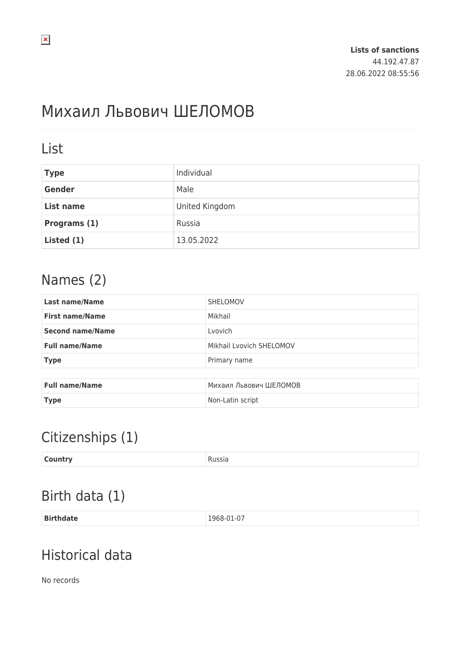# Михаил Львович ШЕЛОМОВ

#### List

| <b>Type</b>   | Individual     |
|---------------|----------------|
| <b>Gender</b> | Male           |
| List name     | United Kingdom |
| Programs (1)  | Russia         |
| Listed (1)    | 13.05.2022     |

### Names (2)

| <b>Last name/Name</b>   | SHELOMOV                 |  |
|-------------------------|--------------------------|--|
| <b>First name/Name</b>  | Mikhail                  |  |
| <b>Second name/Name</b> | Lyovich                  |  |
| <b>Full name/Name</b>   | Mikhail Lyovich SHELOMOV |  |
| <b>Type</b>             | Primary name             |  |
|                         |                          |  |
| <b>Full name/Name</b>   | Михаил Львович ШЕЛОМОВ   |  |
| <b>Type</b>             | Non-Latin script         |  |

## Citizenships (1)

| <b>Country</b> | Russia<br>. |
|----------------|-------------|
|----------------|-------------|

## Birth data (1)

| <b>Birth</b> | 1968-01-07 |
|--------------|------------|
| hdata        |            |
| .            |            |

## Historical data

No records